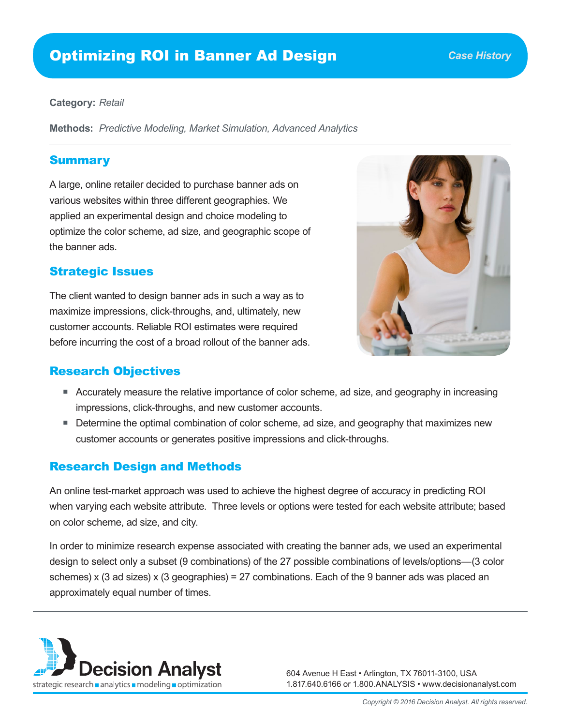# Optimizing ROI in Banner Ad Design

#### **Category:** *Retail*

**Methods:** *Predictive Modeling, Market Simulation, Advanced Analytics*

#### Summary

A large, online retailer decided to purchase banner ads on various websites within three different geographies. We applied an experimental design and choice modeling to optimize the color scheme, ad size, and geographic scope of the banner ads.

## Strategic Issues

The client wanted to design banner ads in such a way as to maximize impressions, click-throughs, and, ultimately, new customer accounts. Reliable ROI estimates were required before incurring the cost of a broad rollout of the banner ads.

## Research Objectives

- 
- Accurately measure the relative importance of color scheme, ad size, and geography in increasing impressions, click-throughs, and new customer accounts.
- **Determine the optimal combination of color scheme, ad size, and geography that maximizes new** customer accounts or generates positive impressions and click-throughs.

## Research Design and Methods

An online test-market approach was used to achieve the highest degree of accuracy in predicting ROI when varying each website attribute. Three levels or options were tested for each website attribute; based on color scheme, ad size, and city.

In order to minimize research expense associated with creating the banner ads, we used an experimental design to select only a subset (9 combinations) of the 27 possible combinations of levels/options—(3 color schemes) x (3 ad sizes) x (3 geographies) = 27 combinations. Each of the 9 banner ads was placed an approximately equal number of times.



604 Avenue H East • Arlington, TX 76011-3100, USA 1.817.640.6166 or 1.800.ANALYSIS • www.decisionanalyst.com